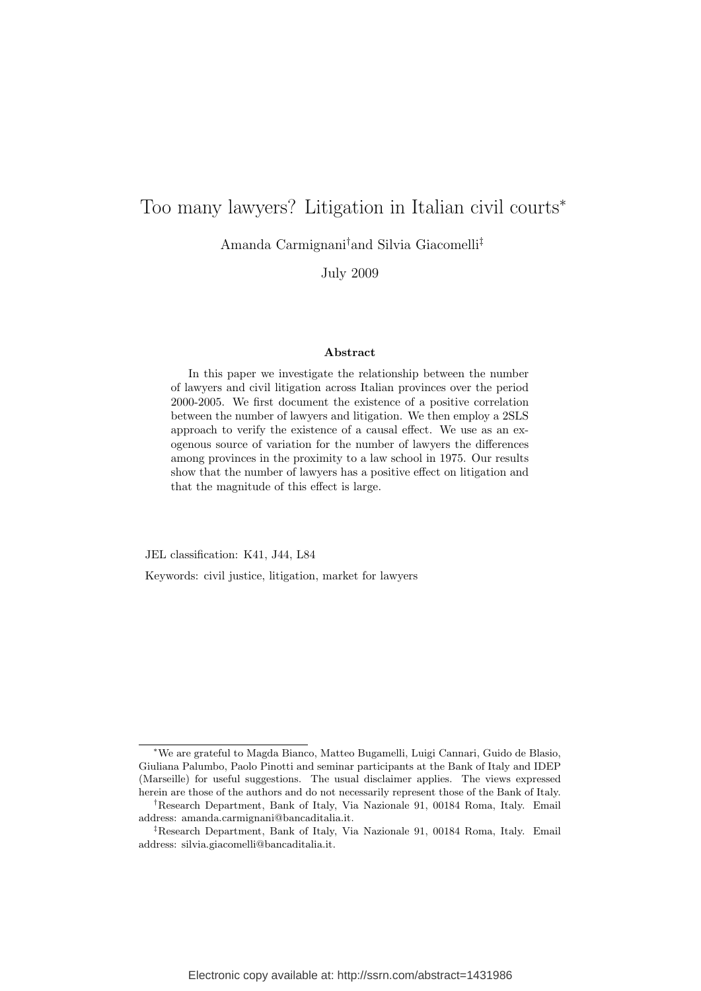# Too many lawyers? Litigation in Italian civil courts<sup>∗</sup>

Amanda Carmignani†and Silvia Giacomelli‡

July 2009

#### Abstract

In this paper we investigate the relationship between the number of lawyers and civil litigation across Italian provinces over the period 2000-2005. We first document the existence of a positive correlation between the number of lawyers and litigation. We then employ a 2SLS approach to verify the existence of a causal effect. We use as an exogenous source of variation for the number of lawyers the differences among provinces in the proximity to a law school in 1975. Our results show that the number of lawyers has a positive effect on litigation and that the magnitude of this effect is large.

JEL classification: K41, J44, L84

Keywords: civil justice, litigation, market for lawyers

<sup>∗</sup>We are grateful to Magda Bianco, Matteo Bugamelli, Luigi Cannari, Guido de Blasio, Giuliana Palumbo, Paolo Pinotti and seminar participants at the Bank of Italy and IDEP (Marseille) for useful suggestions. The usual disclaimer applies. The views expressed herein are those of the authors and do not necessarily represent those of the Bank of Italy.

<sup>†</sup>Research Department, Bank of Italy, Via Nazionale 91, 00184 Roma, Italy. Email address: amanda.carmignani@bancaditalia.it.

<sup>‡</sup>Research Department, Bank of Italy, Via Nazionale 91, 00184 Roma, Italy. Email address: silvia.giacomelli@bancaditalia.it.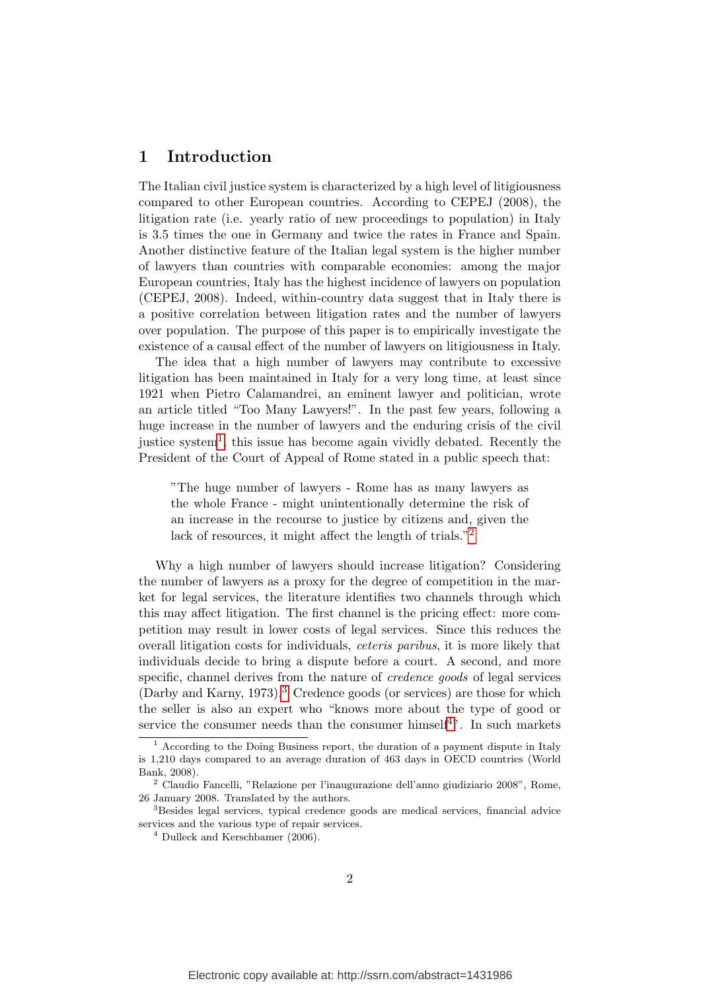## 1 Introduction

The Italian civil justice system is characterized by a high level of litigiousness compared to other European countries. According to CEPEJ (2008), the litigation rate (i.e. yearly ratio of new proceedings to population) in Italy is 3.5 times the one in Germany and twice the rates in France and Spain. Another distinctive feature of the Italian legal system is the higher number of lawyers than countries with comparable economies: among the major European countries, Italy has the highest incidence of lawyers on population (CEPEJ, 2008). Indeed, within-country data suggest that in Italy there is a positive correlation between litigation rates and the number of lawyers over population. The purpose of this paper is to empirically investigate the existence of a causal effect of the number of lawyers on litigiousness in Italy.

The idea that a high number of lawyers may contribute to excessive litigation has been maintained in Italy for a very long time, at least since 1921 when Pietro Calamandrei, an eminent lawyer and politician, wrote an article titled "Too Many Lawyers!". In the past few years, following a huge increase in the number of lawyers and the enduring crisis of the civil justice system<sup>[1](#page-1-0)</sup>, this issue has become again vividly debated. Recently the President of the Court of Appeal of Rome stated in a public speech that:

"The huge number of lawyers - Rome has as many lawyers as the whole France - might unintentionally determine the risk of an increase in the recourse to justice by citizens and, given the lack of resources, it might affect the length of trials."<sup>[2](#page-1-1)</sup>

Why a high number of lawyers should increase litigation? Considering the number of lawyers as a proxy for the degree of competition in the market for legal services, the literature identifies two channels through which this may affect litigation. The first channel is the pricing effect: more competition may result in lower costs of legal services. Since this reduces the overall litigation costs for individuals, ceteris paribus, it is more likely that individuals decide to bring a dispute before a court. A second, and more specific, channel derives from the nature of credence goods of legal services  $(Darby and Karny, 1973).$  $(Darby and Karny, 1973).$  $(Darby and Karny, 1973).$ <sup>3</sup> Credence goods (or services) are those for which the seller is also an expert who "knows more about the type of good or service the consumer needs than the consumer himself<sup>[4](#page-1-3)</sup>". In such markets

<span id="page-1-0"></span><sup>1</sup> According to the Doing Business report, the duration of a payment dispute in Italy is 1,210 days compared to an average duration of 463 days in OECD countries (World Bank, 2008).

<span id="page-1-1"></span><sup>2</sup> Claudio Fancelli, "Relazione per l'inaugurazione dell'anno giudiziario 2008", Rome, 26 January 2008. Translated by the authors.

<span id="page-1-2"></span><sup>3</sup>Besides legal services, typical credence goods are medical services, financial advice services and the various type of repair services.

<span id="page-1-3"></span> $4$  Dulleck and Kerschbamer (2006).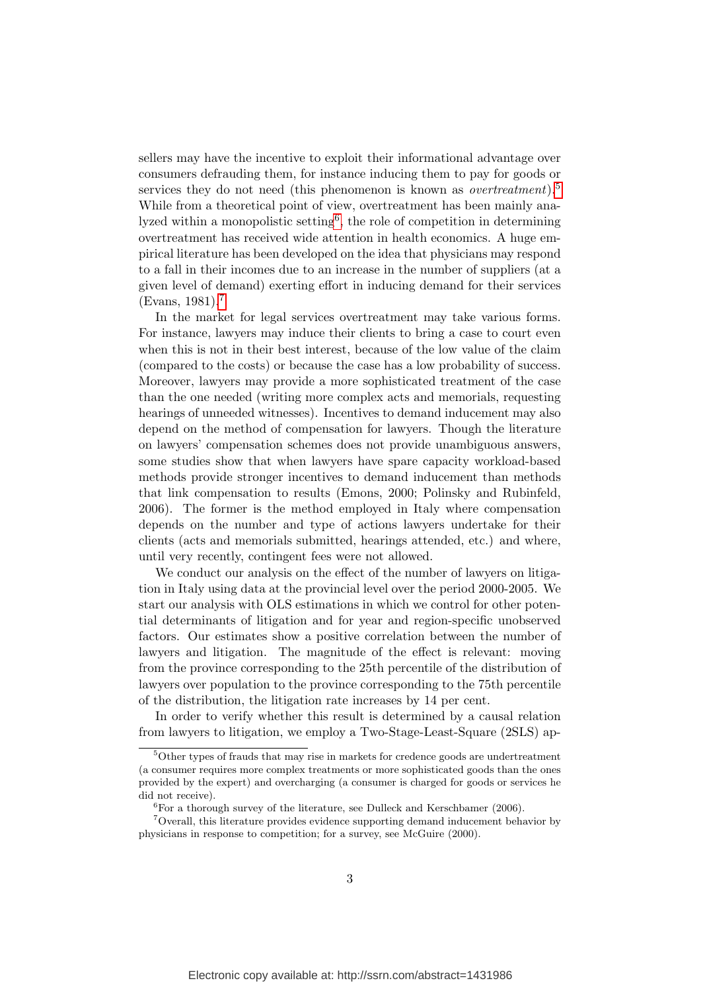sellers may have the incentive to exploit their informational advantage over consumers defrauding them, for instance inducing them to pay for goods or services they do not need (this phenomenon is known as *overtreatment*).<sup>[5](#page-2-0)</sup> While from a theoretical point of view, overtreatment has been mainly ana-lyzed within a monopolistic setting<sup>[6](#page-2-1)</sup>, the role of competition in determining overtreatment has received wide attention in health economics. A huge empirical literature has been developed on the idea that physicians may respond to a fall in their incomes due to an increase in the number of suppliers (at a given level of demand) exerting effort in inducing demand for their services  $(Evans, 1981).$ <sup>[7](#page-2-2)</sup>

In the market for legal services overtreatment may take various forms. For instance, lawyers may induce their clients to bring a case to court even when this is not in their best interest, because of the low value of the claim (compared to the costs) or because the case has a low probability of success. Moreover, lawyers may provide a more sophisticated treatment of the case than the one needed (writing more complex acts and memorials, requesting hearings of unneeded witnesses). Incentives to demand inducement may also depend on the method of compensation for lawyers. Though the literature on lawyers' compensation schemes does not provide unambiguous answers, some studies show that when lawyers have spare capacity workload-based methods provide stronger incentives to demand inducement than methods that link compensation to results (Emons, 2000; Polinsky and Rubinfeld, 2006). The former is the method employed in Italy where compensation depends on the number and type of actions lawyers undertake for their clients (acts and memorials submitted, hearings attended, etc.) and where, until very recently, contingent fees were not allowed.

We conduct our analysis on the effect of the number of lawyers on litigation in Italy using data at the provincial level over the period 2000-2005. We start our analysis with OLS estimations in which we control for other potential determinants of litigation and for year and region-specific unobserved factors. Our estimates show a positive correlation between the number of lawyers and litigation. The magnitude of the effect is relevant: moving from the province corresponding to the 25th percentile of the distribution of lawyers over population to the province corresponding to the 75th percentile of the distribution, the litigation rate increases by 14 per cent.

In order to verify whether this result is determined by a causal relation from lawyers to litigation, we employ a Two-Stage-Least-Square (2SLS) ap-

<span id="page-2-0"></span> $5$ Other types of frauds that may rise in markets for credence goods are undertreatment (a consumer requires more complex treatments or more sophisticated goods than the ones provided by the expert) and overcharging (a consumer is charged for goods or services he did not receive).

<span id="page-2-2"></span><span id="page-2-1"></span><sup>&</sup>lt;sup>6</sup>For a thorough survey of the literature, see Dulleck and Kerschbamer (2006).

<sup>7</sup>Overall, this literature provides evidence supporting demand inducement behavior by physicians in response to competition; for a survey, see McGuire (2000).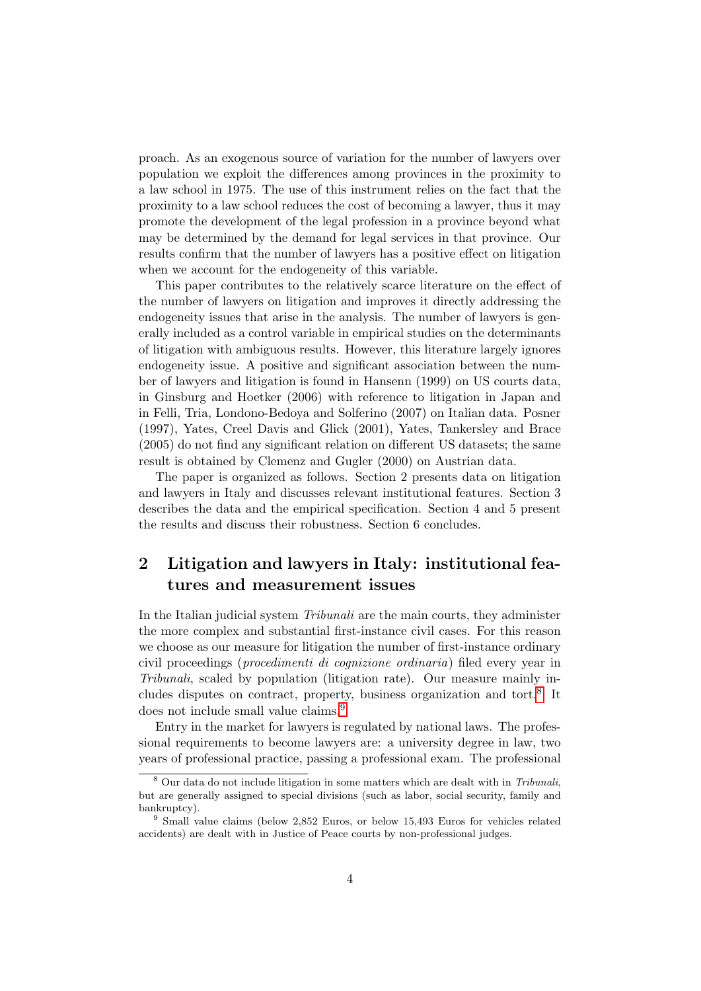proach. As an exogenous source of variation for the number of lawyers over population we exploit the differences among provinces in the proximity to a law school in 1975. The use of this instrument relies on the fact that the proximity to a law school reduces the cost of becoming a lawyer, thus it may promote the development of the legal profession in a province beyond what may be determined by the demand for legal services in that province. Our results confirm that the number of lawyers has a positive effect on litigation when we account for the endogeneity of this variable.

This paper contributes to the relatively scarce literature on the effect of the number of lawyers on litigation and improves it directly addressing the endogeneity issues that arise in the analysis. The number of lawyers is generally included as a control variable in empirical studies on the determinants of litigation with ambiguous results. However, this literature largely ignores endogeneity issue. A positive and significant association between the number of lawyers and litigation is found in Hansenn (1999) on US courts data, in Ginsburg and Hoetker (2006) with reference to litigation in Japan and in Felli, Tria, Londono-Bedoya and Solferino (2007) on Italian data. Posner (1997), Yates, Creel Davis and Glick (2001), Yates, Tankersley and Brace (2005) do not find any significant relation on different US datasets; the same result is obtained by Clemenz and Gugler (2000) on Austrian data.

The paper is organized as follows. Section 2 presents data on litigation and lawyers in Italy and discusses relevant institutional features. Section 3 describes the data and the empirical specification. Section 4 and 5 present the results and discuss their robustness. Section 6 concludes.

## 2 Litigation and lawyers in Italy: institutional features and measurement issues

In the Italian judicial system Tribunali are the main courts, they administer the more complex and substantial first-instance civil cases. For this reason we choose as our measure for litigation the number of first-instance ordinary civil proceedings (procedimenti di cognizione ordinaria) filed every year in Tribunali, scaled by population (litigation rate). Our measure mainly in-cludes disputes on contract, property, business organization and tort.<sup>[8](#page-3-0)</sup> It does not include small value claims.<sup>[9](#page-3-1)</sup>

Entry in the market for lawyers is regulated by national laws. The professional requirements to become lawyers are: a university degree in law, two years of professional practice, passing a professional exam. The professional

<span id="page-3-0"></span><sup>&</sup>lt;sup>8</sup> Our data do not include litigation in some matters which are dealt with in Tribunali, but are generally assigned to special divisions (such as labor, social security, family and bankruptcy).

<span id="page-3-1"></span><sup>9</sup> Small value claims (below 2,852 Euros, or below 15,493 Euros for vehicles related accidents) are dealt with in Justice of Peace courts by non-professional judges.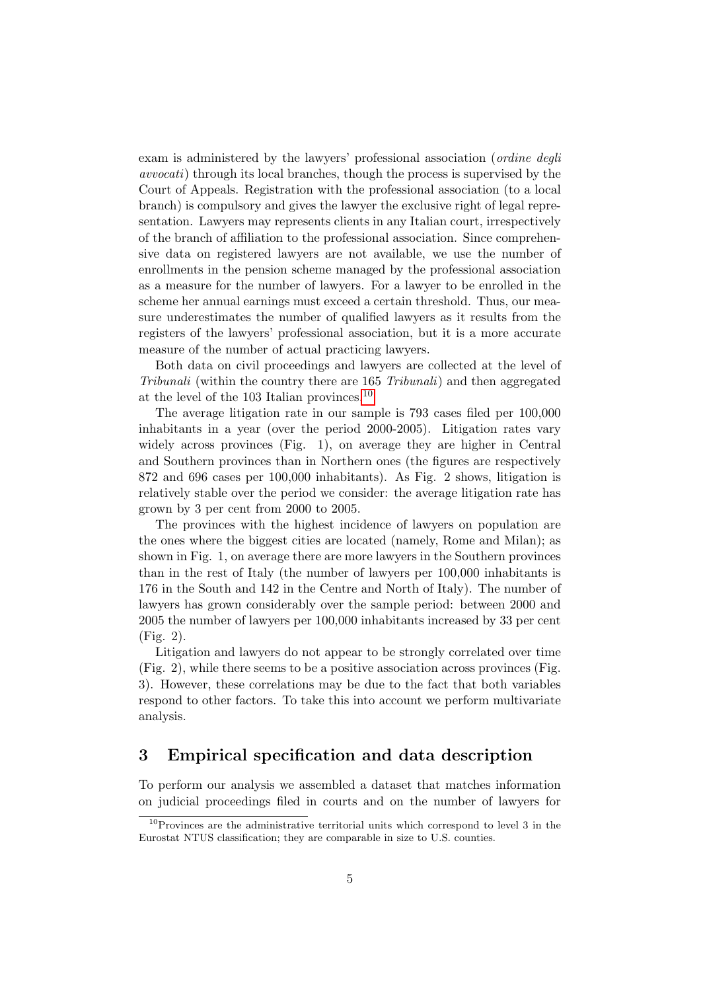exam is administered by the lawyers' professional association (*ordine degli* avvocati) through its local branches, though the process is supervised by the Court of Appeals. Registration with the professional association (to a local branch) is compulsory and gives the lawyer the exclusive right of legal representation. Lawyers may represents clients in any Italian court, irrespectively of the branch of affiliation to the professional association. Since comprehensive data on registered lawyers are not available, we use the number of enrollments in the pension scheme managed by the professional association as a measure for the number of lawyers. For a lawyer to be enrolled in the scheme her annual earnings must exceed a certain threshold. Thus, our measure underestimates the number of qualified lawyers as it results from the registers of the lawyers' professional association, but it is a more accurate measure of the number of actual practicing lawyers.

Both data on civil proceedings and lawyers are collected at the level of Tribunali (within the country there are 165 Tribunali) and then aggregated at the level of the 103 Italian provinces.[10](#page-4-0)

The average litigation rate in our sample is 793 cases filed per 100,000 inhabitants in a year (over the period 2000-2005). Litigation rates vary widely across provinces (Fig. 1), on average they are higher in Central and Southern provinces than in Northern ones (the figures are respectively 872 and 696 cases per 100,000 inhabitants). As Fig. 2 shows, litigation is relatively stable over the period we consider: the average litigation rate has grown by 3 per cent from 2000 to 2005.

The provinces with the highest incidence of lawyers on population are the ones where the biggest cities are located (namely, Rome and Milan); as shown in Fig. 1, on average there are more lawyers in the Southern provinces than in the rest of Italy (the number of lawyers per 100,000 inhabitants is 176 in the South and 142 in the Centre and North of Italy). The number of lawyers has grown considerably over the sample period: between 2000 and 2005 the number of lawyers per 100,000 inhabitants increased by 33 per cent (Fig. 2).

Litigation and lawyers do not appear to be strongly correlated over time (Fig. 2), while there seems to be a positive association across provinces (Fig. 3). However, these correlations may be due to the fact that both variables respond to other factors. To take this into account we perform multivariate analysis.

## 3 Empirical specification and data description

To perform our analysis we assembled a dataset that matches information on judicial proceedings filed in courts and on the number of lawyers for

<span id="page-4-0"></span> $10P$  provinces are the administrative territorial units which correspond to level 3 in the Eurostat NTUS classification; they are comparable in size to U.S. counties.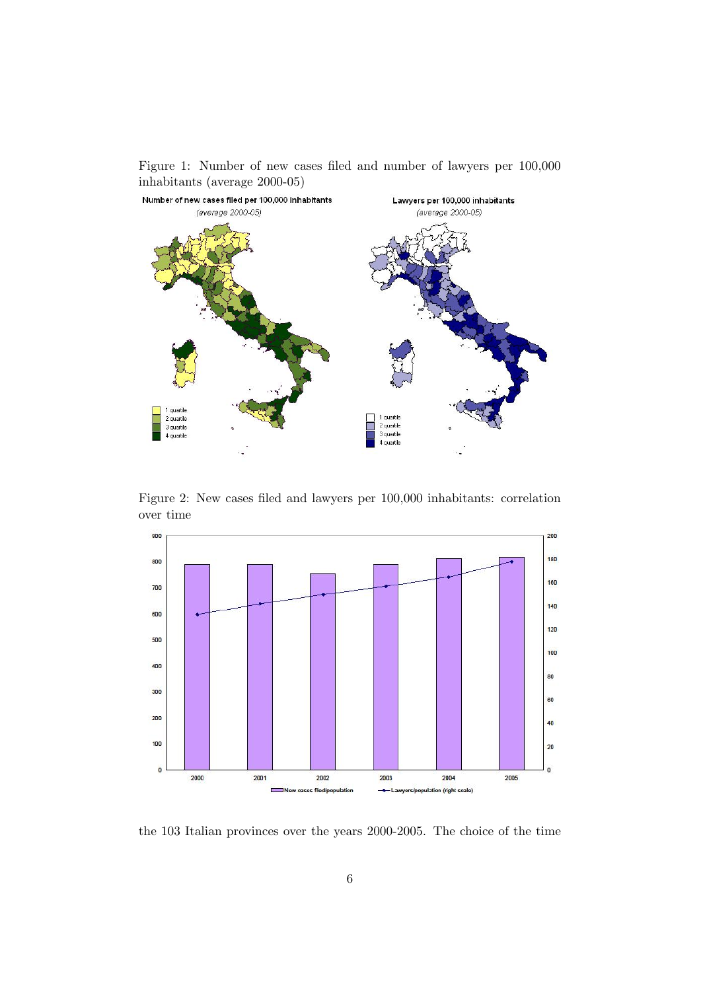Figure 1: Number of new cases filed and number of lawyers per 100,000 inhabitants (average 2000-05) Number of new cases filed per 100,000 inhabitants Lawyers per 100,000 inhabitants (average 2000-05) (average 2000-05)



Figure 2: New cases filed and lawyers per 100,000 inhabitants: correlation over time



the 103 Italian provinces over the years 2000-2005. The choice of the time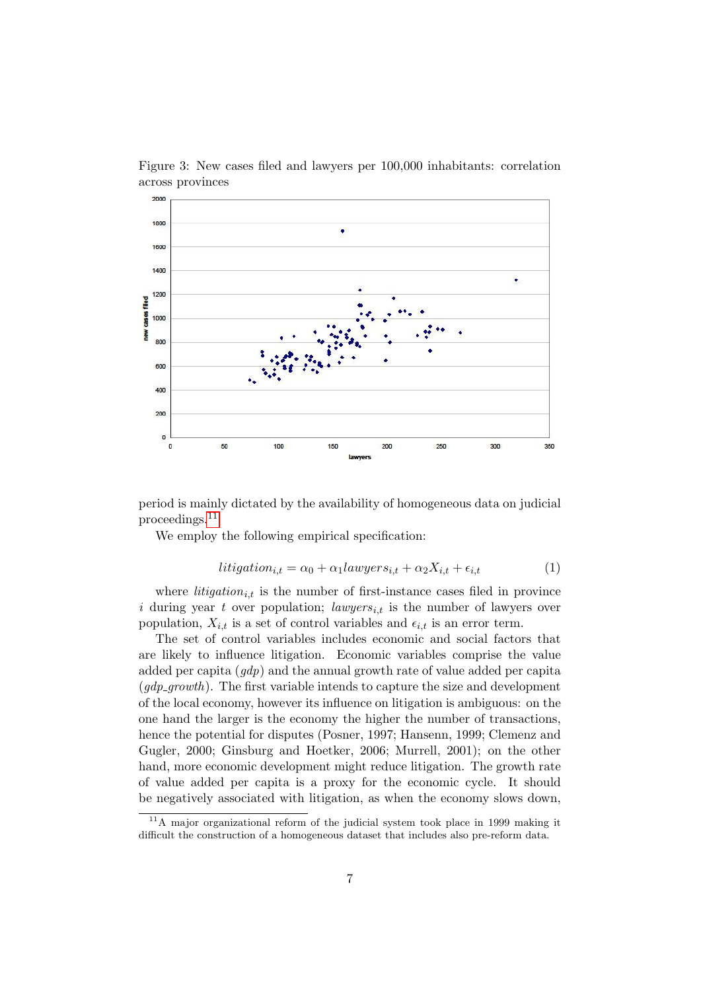

Figure 3: New cases filed and lawyers per 100,000 inhabitants: correlation across provinces

period is mainly dictated by the availability of homogeneous data on judicial proceedings.[11](#page-6-0)

We employ the following empirical specification:

$$
litigation_{i,t} = \alpha_0 + \alpha_1 lawgers_{i,t} + \alpha_2 X_{i,t} + \epsilon_{i,t}
$$
\n(1)

where *litigation*<sub>it</sub> is the number of first-instance cases filed in province i during year t over population; lawyers<sub>i,t</sub> is the number of lawyers over population,  $X_{i,t}$  is a set of control variables and  $\epsilon_{i,t}$  is an error term.

The set of control variables includes economic and social factors that are likely to influence litigation. Economic variables comprise the value added per capita (gdp) and the annual growth rate of value added per capita  $(qdp_qrowth)$ . The first variable intends to capture the size and development of the local economy, however its influence on litigation is ambiguous: on the one hand the larger is the economy the higher the number of transactions, hence the potential for disputes (Posner, 1997; Hansenn, 1999; Clemenz and Gugler, 2000; Ginsburg and Hoetker, 2006; Murrell, 2001); on the other hand, more economic development might reduce litigation. The growth rate of value added per capita is a proxy for the economic cycle. It should be negatively associated with litigation, as when the economy slows down,

<span id="page-6-0"></span> $11<sup>11</sup>A$  major organizational reform of the judicial system took place in 1999 making it difficult the construction of a homogeneous dataset that includes also pre-reform data.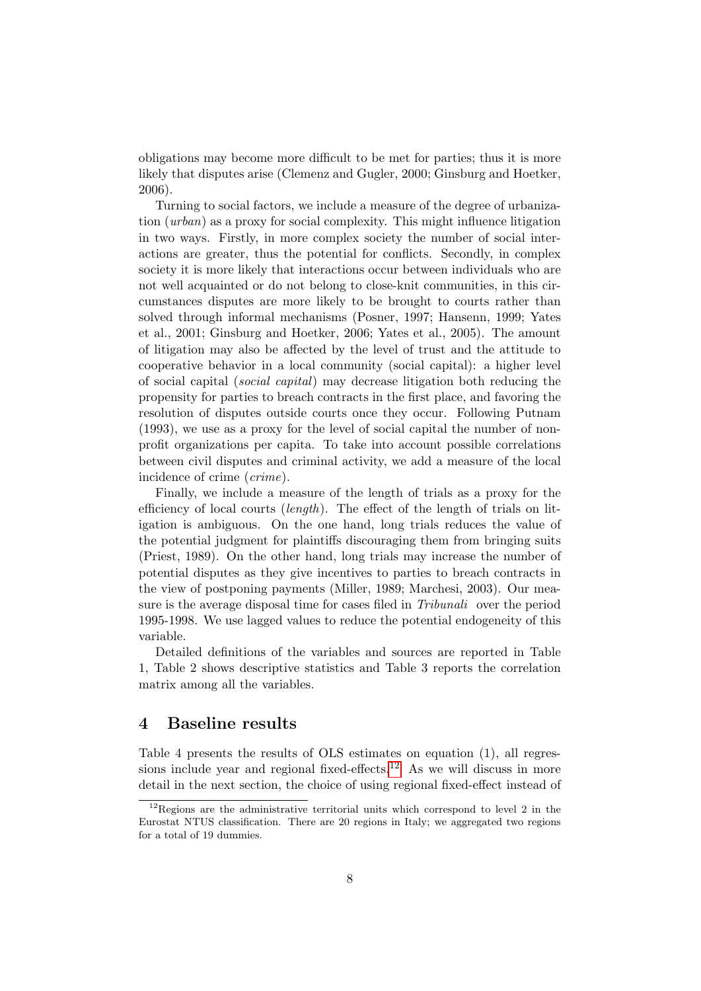obligations may become more difficult to be met for parties; thus it is more likely that disputes arise (Clemenz and Gugler, 2000; Ginsburg and Hoetker, 2006).

Turning to social factors, we include a measure of the degree of urbanization (urban) as a proxy for social complexity. This might influence litigation in two ways. Firstly, in more complex society the number of social interactions are greater, thus the potential for conflicts. Secondly, in complex society it is more likely that interactions occur between individuals who are not well acquainted or do not belong to close-knit communities, in this circumstances disputes are more likely to be brought to courts rather than solved through informal mechanisms (Posner, 1997; Hansenn, 1999; Yates et al., 2001; Ginsburg and Hoetker, 2006; Yates et al., 2005). The amount of litigation may also be affected by the level of trust and the attitude to cooperative behavior in a local community (social capital): a higher level of social capital (social capital) may decrease litigation both reducing the propensity for parties to breach contracts in the first place, and favoring the resolution of disputes outside courts once they occur. Following Putnam (1993), we use as a proxy for the level of social capital the number of nonprofit organizations per capita. To take into account possible correlations between civil disputes and criminal activity, we add a measure of the local incidence of crime (crime).

Finally, we include a measure of the length of trials as a proxy for the efficiency of local courts (length). The effect of the length of trials on litigation is ambiguous. On the one hand, long trials reduces the value of the potential judgment for plaintiffs discouraging them from bringing suits (Priest, 1989). On the other hand, long trials may increase the number of potential disputes as they give incentives to parties to breach contracts in the view of postponing payments (Miller, 1989; Marchesi, 2003). Our measure is the average disposal time for cases filed in Tribunali over the period 1995-1998. We use lagged values to reduce the potential endogeneity of this variable.

Detailed definitions of the variables and sources are reported in Table 1, Table 2 shows descriptive statistics and Table 3 reports the correlation matrix among all the variables.

#### 4 Baseline results

Table 4 presents the results of OLS estimates on equation (1), all regres-sions include year and regional fixed-effects.<sup>[12](#page-7-0)</sup> As we will discuss in more detail in the next section, the choice of using regional fixed-effect instead of

<span id="page-7-0"></span> $12$ Regions are the administrative territorial units which correspond to level 2 in the Eurostat NTUS classification. There are 20 regions in Italy; we aggregated two regions for a total of 19 dummies.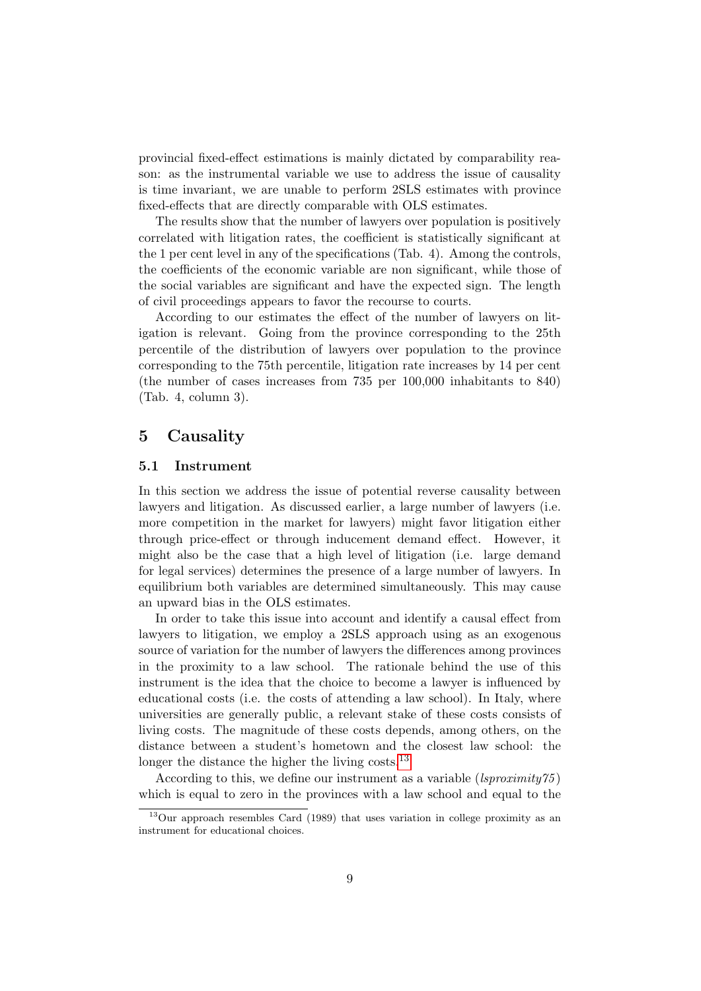provincial fixed-effect estimations is mainly dictated by comparability reason: as the instrumental variable we use to address the issue of causality is time invariant, we are unable to perform 2SLS estimates with province fixed-effects that are directly comparable with OLS estimates.

The results show that the number of lawyers over population is positively correlated with litigation rates, the coefficient is statistically significant at the 1 per cent level in any of the specifications (Tab. 4). Among the controls, the coefficients of the economic variable are non significant, while those of the social variables are significant and have the expected sign. The length of civil proceedings appears to favor the recourse to courts.

According to our estimates the effect of the number of lawyers on litigation is relevant. Going from the province corresponding to the 25th percentile of the distribution of lawyers over population to the province corresponding to the 75th percentile, litigation rate increases by 14 per cent (the number of cases increases from 735 per 100,000 inhabitants to 840) (Tab. 4, column 3).

#### 5 Causality

#### 5.1 Instrument

In this section we address the issue of potential reverse causality between lawyers and litigation. As discussed earlier, a large number of lawyers (i.e. more competition in the market for lawyers) might favor litigation either through price-effect or through inducement demand effect. However, it might also be the case that a high level of litigation (i.e. large demand for legal services) determines the presence of a large number of lawyers. In equilibrium both variables are determined simultaneously. This may cause an upward bias in the OLS estimates.

In order to take this issue into account and identify a causal effect from lawyers to litigation, we employ a 2SLS approach using as an exogenous source of variation for the number of lawyers the differences among provinces in the proximity to a law school. The rationale behind the use of this instrument is the idea that the choice to become a lawyer is influenced by educational costs (i.e. the costs of attending a law school). In Italy, where universities are generally public, a relevant stake of these costs consists of living costs. The magnitude of these costs depends, among others, on the distance between a student's hometown and the closest law school: the longer the distance the higher the living costs.<sup>[13](#page-8-0)</sup>

According to this, we define our instrument as a variable  $(lsproximity 75)$ which is equal to zero in the provinces with a law school and equal to the

<span id="page-8-0"></span><sup>13</sup>Our approach resembles Card (1989) that uses variation in college proximity as an instrument for educational choices.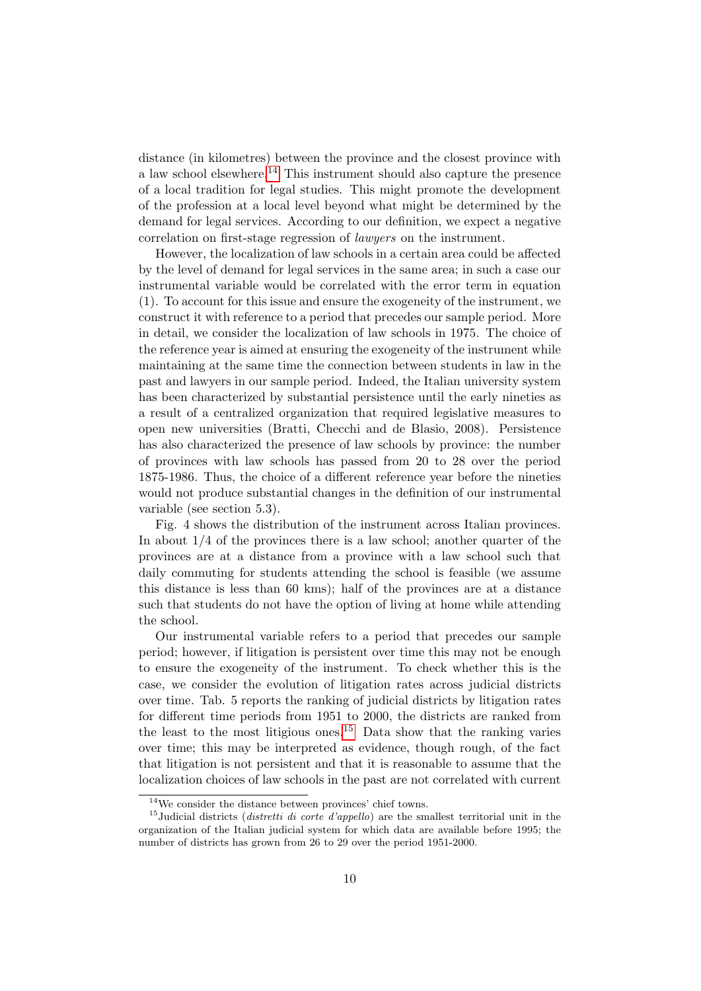distance (in kilometres) between the province and the closest province with a law school elsewhere.<sup>[14](#page-9-0)</sup> This instrument should also capture the presence of a local tradition for legal studies. This might promote the development of the profession at a local level beyond what might be determined by the demand for legal services. According to our definition, we expect a negative correlation on first-stage regression of lawyers on the instrument.

However, the localization of law schools in a certain area could be affected by the level of demand for legal services in the same area; in such a case our instrumental variable would be correlated with the error term in equation (1). To account for this issue and ensure the exogeneity of the instrument, we construct it with reference to a period that precedes our sample period. More in detail, we consider the localization of law schools in 1975. The choice of the reference year is aimed at ensuring the exogeneity of the instrument while maintaining at the same time the connection between students in law in the past and lawyers in our sample period. Indeed, the Italian university system has been characterized by substantial persistence until the early nineties as a result of a centralized organization that required legislative measures to open new universities (Bratti, Checchi and de Blasio, 2008). Persistence has also characterized the presence of law schools by province: the number of provinces with law schools has passed from 20 to 28 over the period 1875-1986. Thus, the choice of a different reference year before the nineties would not produce substantial changes in the definition of our instrumental variable (see section 5.3).

Fig. 4 shows the distribution of the instrument across Italian provinces. In about  $1/4$  of the provinces there is a law school; another quarter of the provinces are at a distance from a province with a law school such that daily commuting for students attending the school is feasible (we assume this distance is less than 60 kms); half of the provinces are at a distance such that students do not have the option of living at home while attending the school.

Our instrumental variable refers to a period that precedes our sample period; however, if litigation is persistent over time this may not be enough to ensure the exogeneity of the instrument. To check whether this is the case, we consider the evolution of litigation rates across judicial districts over time. Tab. 5 reports the ranking of judicial districts by litigation rates for different time periods from 1951 to 2000, the districts are ranked from the least to the most litigious ones.<sup>[15](#page-9-1)</sup> Data show that the ranking varies over time; this may be interpreted as evidence, though rough, of the fact that litigation is not persistent and that it is reasonable to assume that the localization choices of law schools in the past are not correlated with current

<span id="page-9-1"></span><span id="page-9-0"></span> $\rm ^{14}We$  consider the distance between provinces' chief towns.

 $15$ Judicial districts (*distretti di corte d'appello*) are the smallest territorial unit in the organization of the Italian judicial system for which data are available before 1995; the number of districts has grown from 26 to 29 over the period 1951-2000.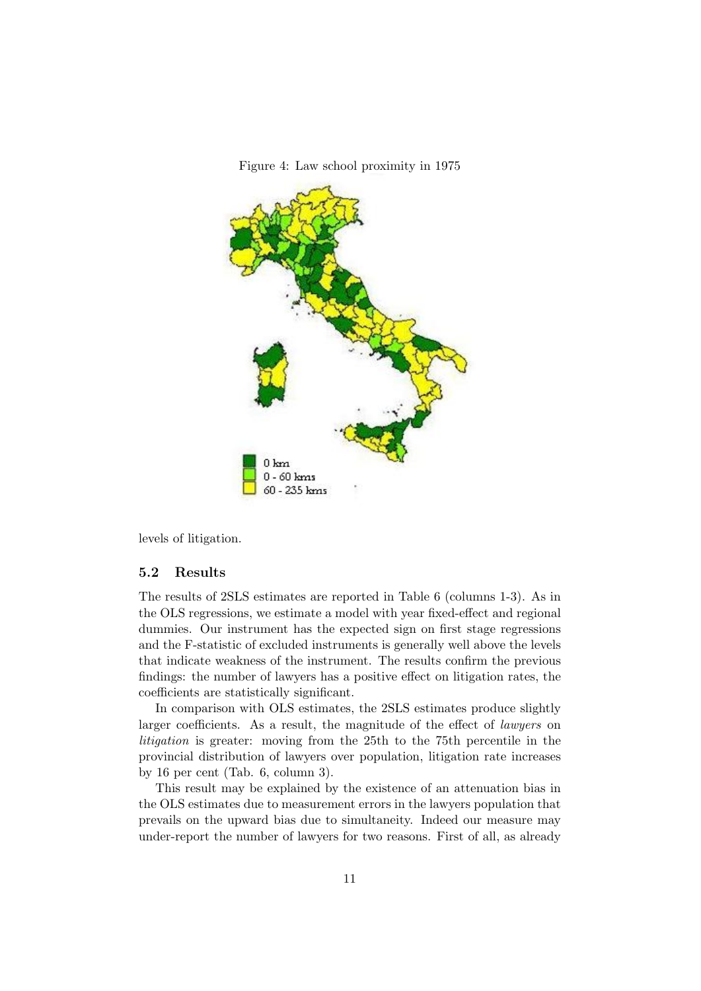

Figure 4: Law school proximity in 1975

levels of litigation.

#### 5.2 Results

The results of 2SLS estimates are reported in Table 6 (columns 1-3). As in the OLS regressions, we estimate a model with year fixed-effect and regional dummies. Our instrument has the expected sign on first stage regressions and the F-statistic of excluded instruments is generally well above the levels that indicate weakness of the instrument. The results confirm the previous findings: the number of lawyers has a positive effect on litigation rates, the coefficients are statistically significant.

In comparison with OLS estimates, the 2SLS estimates produce slightly larger coefficients. As a result, the magnitude of the effect of *lawyers* on litigation is greater: moving from the 25th to the 75th percentile in the provincial distribution of lawyers over population, litigation rate increases by 16 per cent (Tab. 6, column 3).

This result may be explained by the existence of an attenuation bias in the OLS estimates due to measurement errors in the lawyers population that prevails on the upward bias due to simultaneity. Indeed our measure may under-report the number of lawyers for two reasons. First of all, as already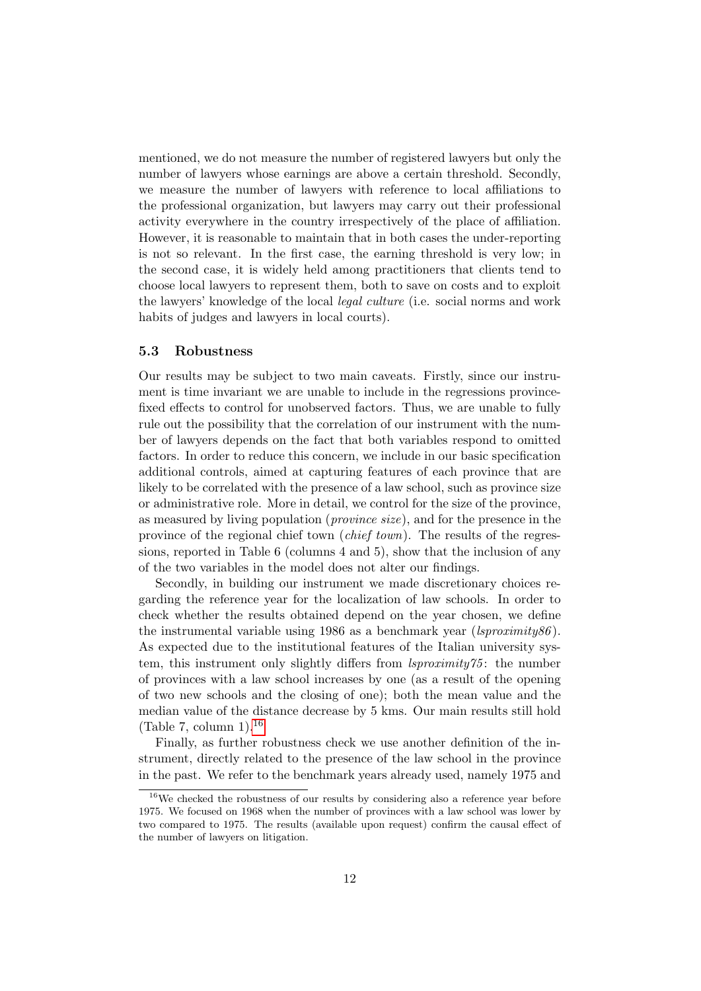mentioned, we do not measure the number of registered lawyers but only the number of lawyers whose earnings are above a certain threshold. Secondly, we measure the number of lawyers with reference to local affiliations to the professional organization, but lawyers may carry out their professional activity everywhere in the country irrespectively of the place of affiliation. However, it is reasonable to maintain that in both cases the under-reporting is not so relevant. In the first case, the earning threshold is very low; in the second case, it is widely held among practitioners that clients tend to choose local lawyers to represent them, both to save on costs and to exploit the lawyers' knowledge of the local legal culture (i.e. social norms and work habits of judges and lawyers in local courts).

#### 5.3 Robustness

Our results may be subject to two main caveats. Firstly, since our instrument is time invariant we are unable to include in the regressions provincefixed effects to control for unobserved factors. Thus, we are unable to fully rule out the possibility that the correlation of our instrument with the number of lawyers depends on the fact that both variables respond to omitted factors. In order to reduce this concern, we include in our basic specification additional controls, aimed at capturing features of each province that are likely to be correlated with the presence of a law school, such as province size or administrative role. More in detail, we control for the size of the province, as measured by living population (province size), and for the presence in the province of the regional chief town (chief town). The results of the regressions, reported in Table 6 (columns 4 and 5), show that the inclusion of any of the two variables in the model does not alter our findings.

Secondly, in building our instrument we made discretionary choices regarding the reference year for the localization of law schools. In order to check whether the results obtained depend on the year chosen, we define the instrumental variable using 1986 as a benchmark year ( $lsproximity86$ ). As expected due to the institutional features of the Italian university system, this instrument only slightly differs from *lsproximity*75: the number of provinces with a law school increases by one (as a result of the opening of two new schools and the closing of one); both the mean value and the median value of the distance decrease by 5 kms. Our main results still hold (Table 7, column  $1$ ).<sup>[16](#page-11-0)</sup>

Finally, as further robustness check we use another definition of the instrument, directly related to the presence of the law school in the province in the past. We refer to the benchmark years already used, namely 1975 and

<span id="page-11-0"></span> $16$ We checked the robustness of our results by considering also a reference year before 1975. We focused on 1968 when the number of provinces with a law school was lower by two compared to 1975. The results (available upon request) confirm the causal effect of the number of lawyers on litigation.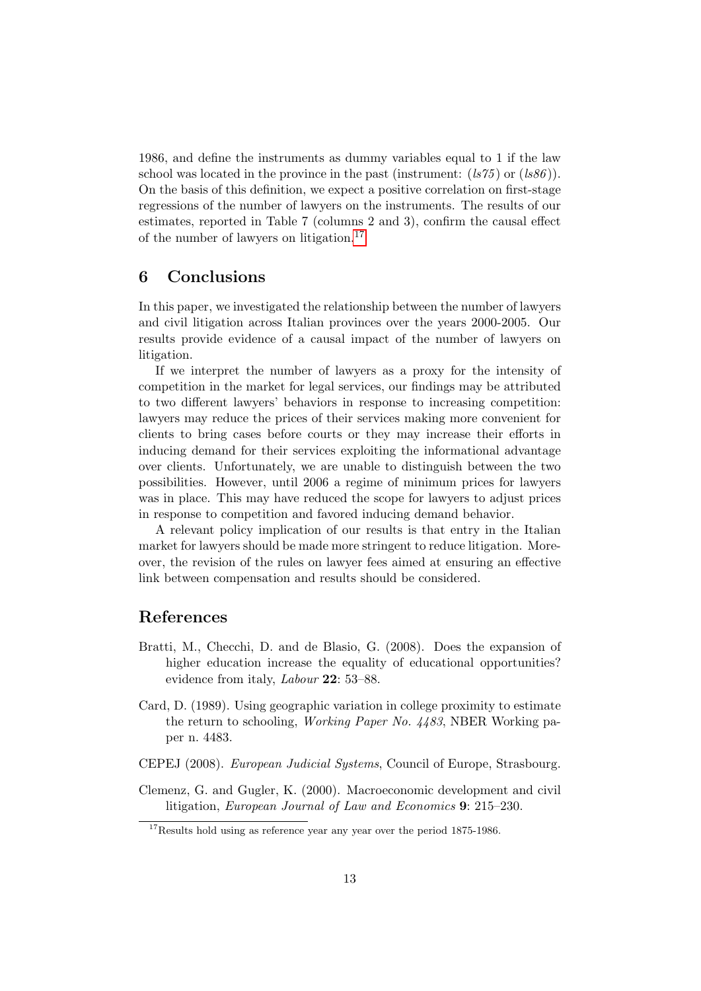1986, and define the instruments as dummy variables equal to 1 if the law school was located in the province in the past (instrument:  $(ls75)$  or  $(ls86)$ ). On the basis of this definition, we expect a positive correlation on first-stage regressions of the number of lawyers on the instruments. The results of our estimates, reported in Table 7 (columns 2 and 3), confirm the causal effect of the number of lawyers on litigation.[17](#page-12-0)

## 6 Conclusions

In this paper, we investigated the relationship between the number of lawyers and civil litigation across Italian provinces over the years 2000-2005. Our results provide evidence of a causal impact of the number of lawyers on litigation.

If we interpret the number of lawyers as a proxy for the intensity of competition in the market for legal services, our findings may be attributed to two different lawyers' behaviors in response to increasing competition: lawyers may reduce the prices of their services making more convenient for clients to bring cases before courts or they may increase their efforts in inducing demand for their services exploiting the informational advantage over clients. Unfortunately, we are unable to distinguish between the two possibilities. However, until 2006 a regime of minimum prices for lawyers was in place. This may have reduced the scope for lawyers to adjust prices in response to competition and favored inducing demand behavior.

A relevant policy implication of our results is that entry in the Italian market for lawyers should be made more stringent to reduce litigation. Moreover, the revision of the rules on lawyer fees aimed at ensuring an effective link between compensation and results should be considered.

## References

- Bratti, M., Checchi, D. and de Blasio, G. (2008). Does the expansion of higher education increase the equality of educational opportunities? evidence from italy, *Labour* **22**: 53–88.
- Card, D. (1989). Using geographic variation in college proximity to estimate the return to schooling, Working Paper No. 4483, NBER Working paper n. 4483.
- CEPEJ (2008). European Judicial Systems, Council of Europe, Strasbourg.
- Clemenz, G. and Gugler, K. (2000). Macroeconomic development and civil litigation, European Journal of Law and Economics 9: 215–230.

<span id="page-12-0"></span><sup>&</sup>lt;sup>17</sup>Results hold using as reference year any year over the period 1875-1986.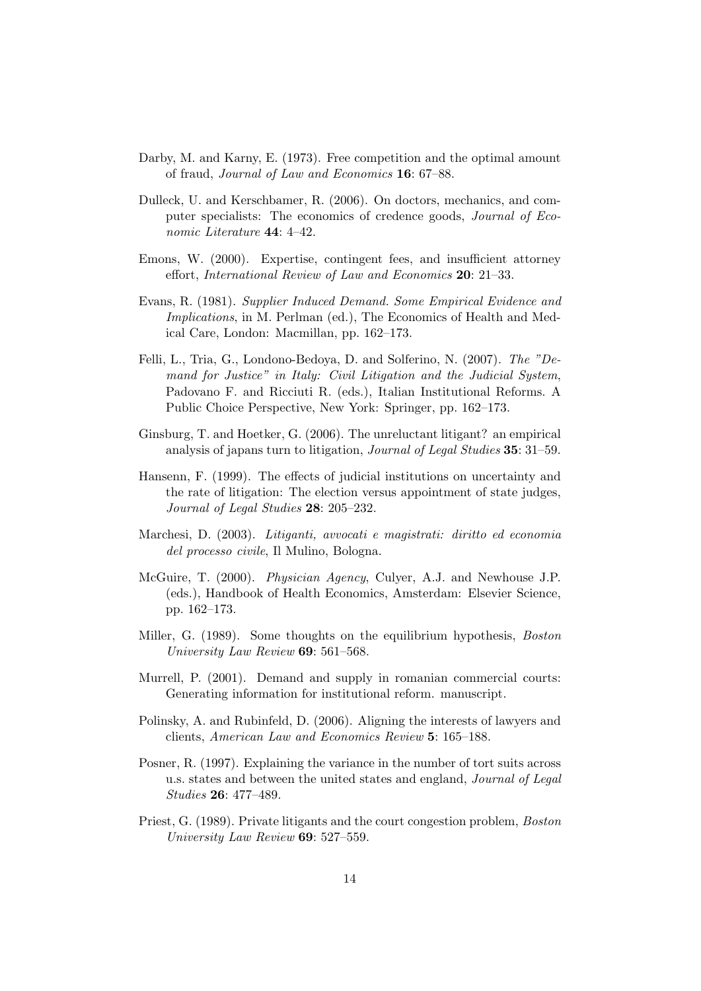- Darby, M. and Karny, E. (1973). Free competition and the optimal amount of fraud, Journal of Law and Economics 16: 67–88.
- Dulleck, U. and Kerschbamer, R. (2006). On doctors, mechanics, and computer specialists: The economics of credence goods, Journal of Economic Literature 44: 4–42.
- Emons, W. (2000). Expertise, contingent fees, and insufficient attorney effort, International Review of Law and Economics 20: 21–33.
- Evans, R. (1981). Supplier Induced Demand. Some Empirical Evidence and Implications, in M. Perlman (ed.), The Economics of Health and Medical Care, London: Macmillan, pp. 162–173.
- Felli, L., Tria, G., Londono-Bedoya, D. and Solferino, N. (2007). The "Demand for Justice" in Italy: Civil Litigation and the Judicial System, Padovano F. and Ricciuti R. (eds.), Italian Institutional Reforms. A Public Choice Perspective, New York: Springer, pp. 162–173.
- Ginsburg, T. and Hoetker, G. (2006). The unreluctant litigant? an empirical analysis of japans turn to litigation, Journal of Legal Studies 35: 31–59.
- Hansenn, F. (1999). The effects of judicial institutions on uncertainty and the rate of litigation: The election versus appointment of state judges, Journal of Legal Studies 28: 205–232.
- Marchesi, D. (2003). Litiganti, avvocati e magistrati: diritto ed economia del processo civile, Il Mulino, Bologna.
- McGuire, T. (2000). Physician Agency, Culyer, A.J. and Newhouse J.P. (eds.), Handbook of Health Economics, Amsterdam: Elsevier Science, pp. 162–173.
- Miller, G. (1989). Some thoughts on the equilibrium hypothesis, Boston University Law Review 69: 561–568.
- Murrell, P. (2001). Demand and supply in romanian commercial courts: Generating information for institutional reform. manuscript.
- Polinsky, A. and Rubinfeld, D. (2006). Aligning the interests of lawyers and clients, American Law and Economics Review 5: 165–188.
- Posner, R. (1997). Explaining the variance in the number of tort suits across u.s. states and between the united states and england, Journal of Legal Studies 26: 477–489.
- Priest, G. (1989). Private litigants and the court congestion problem, Boston University Law Review 69: 527–559.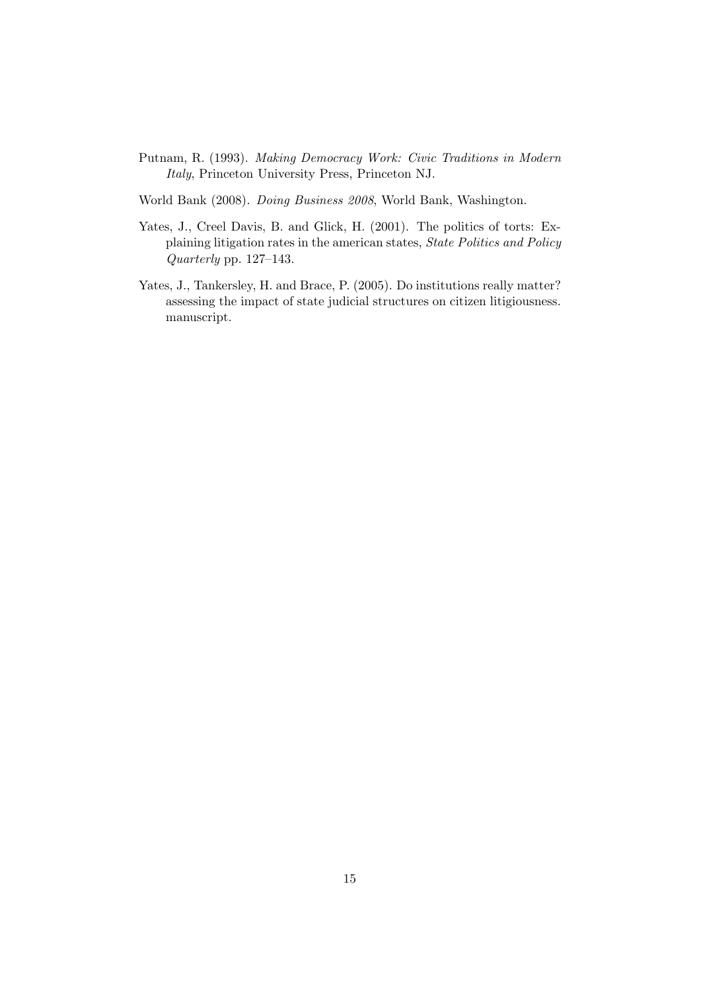- Putnam, R. (1993). Making Democracy Work: Civic Traditions in Modern Italy, Princeton University Press, Princeton NJ.
- World Bank (2008). Doing Business 2008, World Bank, Washington.
- Yates, J., Creel Davis, B. and Glick, H. (2001). The politics of torts: Explaining litigation rates in the american states, State Politics and Policy Quarterly pp. 127–143.
- Yates, J., Tankersley, H. and Brace, P. (2005). Do institutions really matter? assessing the impact of state judicial structures on citizen litigiousness. manuscript.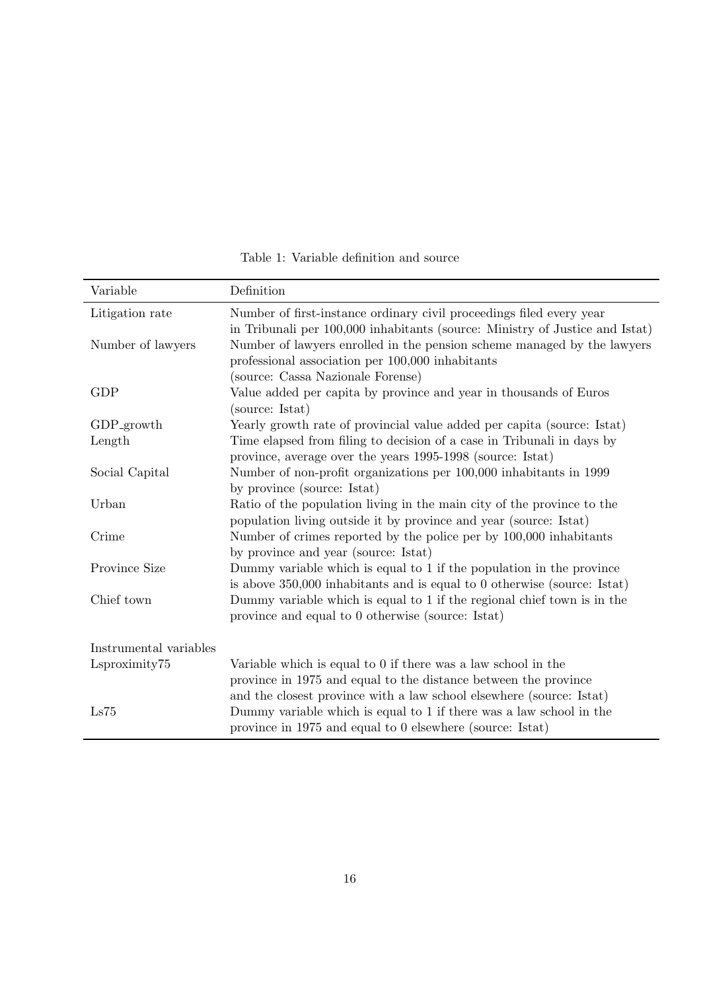| Variable               | Definition                                                                                                                                                                                                 |
|------------------------|------------------------------------------------------------------------------------------------------------------------------------------------------------------------------------------------------------|
| Litigation rate        | Number of first-instance ordinary civil proceedings filed every year<br>in Tribunali per 100,000 inhabitants (source: Ministry of Justice and Istat)                                                       |
| Number of lawyers      | Number of lawyers enrolled in the pension scheme managed by the lawyers<br>professional association per 100,000 inhabitants                                                                                |
|                        | (source: Cassa Nazionale Forense)                                                                                                                                                                          |
| <b>GDP</b>             | Value added per capita by province and year in thousands of Euros<br>(source: Istat)                                                                                                                       |
| GDP <sub>-growth</sub> | Yearly growth rate of provincial value added per capita (source: Istat)                                                                                                                                    |
| Length                 | Time elapsed from filing to decision of a case in Tribunali in days by<br>province, average over the years 1995-1998 (source: Istat)                                                                       |
| Social Capital         | Number of non-profit organizations per 100,000 inhabitants in 1999<br>by province (source: Istat)                                                                                                          |
| Urban                  | Ratio of the population living in the main city of the province to the<br>population living outside it by province and year (source: Istat)                                                                |
| Crime                  | Number of crimes reported by the police per by 100,000 inhabitants<br>by province and year (source: Istat)                                                                                                 |
| Province Size          | Dummy variable which is equal to 1 if the population in the province                                                                                                                                       |
| Chief town             | is above $350,000$ inhabitants and is equal to 0 otherwise (source: Istat)<br>Dummy variable which is equal to 1 if the regional chief town is in the<br>province and equal to 0 otherwise (source: Istat) |
| Instrumental variables |                                                                                                                                                                                                            |
| Lsproximity75          | Variable which is equal to 0 if there was a law school in the<br>province in 1975 and equal to the distance between the province                                                                           |
| Ls75                   | and the closest province with a law school elsewhere (source: Istat)<br>Dummy variable which is equal to 1 if there was a law school in the<br>province in 1975 and equal to 0 elsewhere (source: Istat)   |

Table 1: Variable definition and source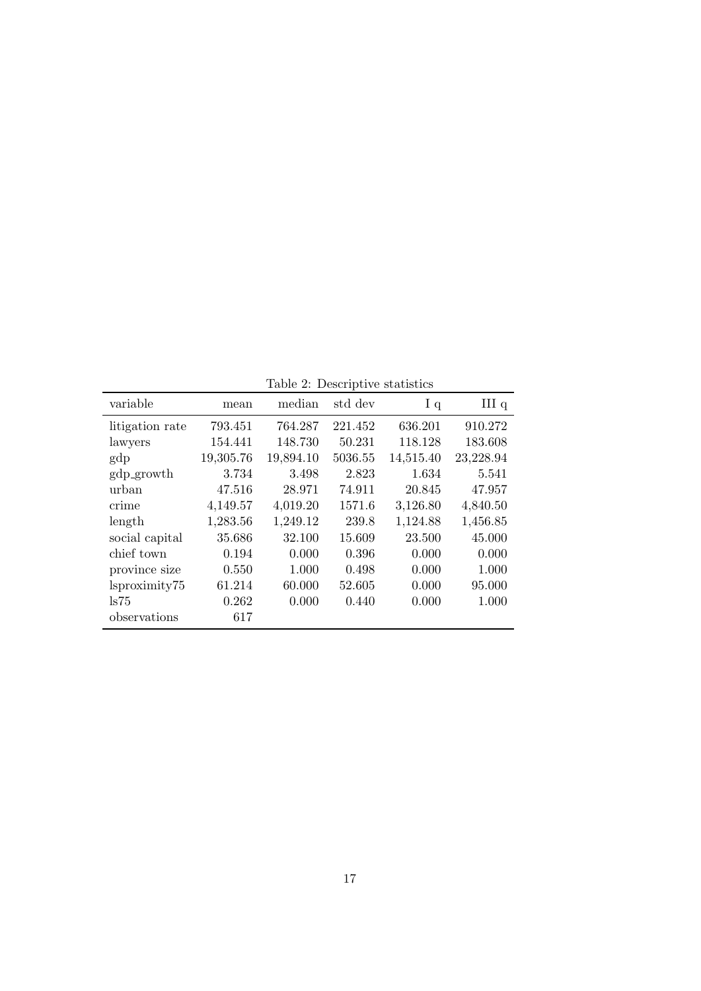Table 2: Descriptive statistics

| mean      | median    | std dev | I <sub>q</sub> | III <sub>q</sub>                |
|-----------|-----------|---------|----------------|---------------------------------|
| 793.451   | 764.287   | 221.452 | 636.201        | 910.272                         |
| 154.441   | 148.730   | 50.231  | 118.128        | 183.608                         |
| 19,305.76 | 19,894.10 | 5036.55 | 14,515.40      | 23,228.94                       |
| 3.734     | 3.498     | 2.823   | 1.634          | 5.541                           |
| 47.516    | 28.971    | 74.911  | 20.845         | 47.957                          |
| 4,149.57  | 4,019.20  | 1571.6  | 3,126.80       | 4,840.50                        |
| 1,283.56  | 1,249.12  | 239.8   | 1,124.88       | 1,456.85                        |
| 35.686    | 32.100    | 15.609  | 23.500         | 45.000                          |
| 0.194     | 0.000     | 0.396   | 0.000          | 0.000                           |
| 0.550     | 1.000     | 0.498   | 0.000          | 1.000                           |
| 61.214    | 60.000    | 52.605  | 0.000          | 95.000                          |
| 0.262     | 0.000     | 0.440   | 0.000          | 1.000                           |
| 617       |           |         |                |                                 |
|           |           |         |                | rable 2. Descriptive statistics |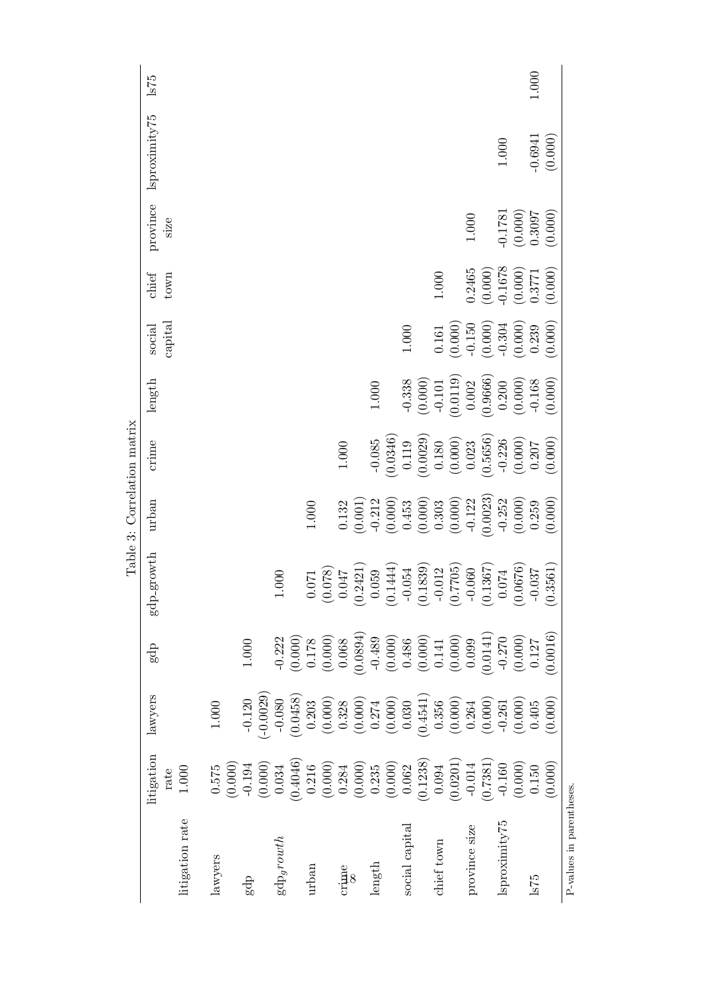|                          |                                 |                                           |                                                                                                                                                                                                                                                                                                                                                                                                                       |                                                                         | Table 3: Correlation matrix |           |           |                   |               |                  |               |         |
|--------------------------|---------------------------------|-------------------------------------------|-----------------------------------------------------------------------------------------------------------------------------------------------------------------------------------------------------------------------------------------------------------------------------------------------------------------------------------------------------------------------------------------------------------------------|-------------------------------------------------------------------------|-----------------------------|-----------|-----------|-------------------|---------------|------------------|---------------|---------|
| litigation rate          | litigation<br>$1.000\,$<br>rate | lawyers                                   | gdp                                                                                                                                                                                                                                                                                                                                                                                                                   | gdp-growth                                                              | urban                       | crime     | length    | capital<br>social | chief<br>town | province<br>size | Isproximity75 | 575     |
|                          |                                 |                                           |                                                                                                                                                                                                                                                                                                                                                                                                                       |                                                                         |                             |           |           |                   |               |                  |               |         |
| lawyers                  | (0.000)<br>$0.575\,$            | $1.000\,$                                 |                                                                                                                                                                                                                                                                                                                                                                                                                       |                                                                         |                             |           |           |                   |               |                  |               |         |
| gdp                      | $-0.194$                        | $-0.120$                                  | $1.000\,$                                                                                                                                                                                                                                                                                                                                                                                                             |                                                                         |                             |           |           |                   |               |                  |               |         |
|                          | (0.000)                         | $(-0.0029)$                               |                                                                                                                                                                                                                                                                                                                                                                                                                       |                                                                         |                             |           |           |                   |               |                  |               |         |
| $\mathrm{gdp}_{g}rowth$  | (0.4046)<br>0.034               | (0.0458)<br>$-0.080$                      | (0.000)<br>$-0.222$                                                                                                                                                                                                                                                                                                                                                                                                   | 000                                                                     |                             |           |           |                   |               |                  |               |         |
| urban                    | $0.216\,$                       | 0.203                                     | $0.178\,$                                                                                                                                                                                                                                                                                                                                                                                                             | $071$<br>$\dot{\circ}$                                                  | $1.000\,$                   |           |           |                   |               |                  |               |         |
|                          | (0.000)                         | (0.000)                                   | (0.000)                                                                                                                                                                                                                                                                                                                                                                                                               | (820.                                                                   |                             |           |           |                   |               |                  |               |         |
| $\lim_{x\to 0}$          | 0.284                           | 0.328                                     | 0.068                                                                                                                                                                                                                                                                                                                                                                                                                 | $(0.078)$<br>0.047                                                      | 0.132                       | $1.000\,$ |           |                   |               |                  |               |         |
|                          | (0.000)                         | (0.000)                                   | (0.0894)                                                                                                                                                                                                                                                                                                                                                                                                              | (0.2421)                                                                | (0.001)                     |           |           |                   |               |                  |               |         |
| length                   | 0.235                           | 0.274                                     |                                                                                                                                                                                                                                                                                                                                                                                                                       | 0.059                                                                   | $-0.212$                    | $-0.085$  | $1.000\,$ |                   |               |                  |               |         |
|                          | (0.000)                         | $\left(0.000\right)$ $\left(0.030\right)$ |                                                                                                                                                                                                                                                                                                                                                                                                                       | (0.1444)                                                                | (0.000)                     | (0.0346)  |           |                   |               |                  |               |         |
| social capital           | 0.062                           |                                           |                                                                                                                                                                                                                                                                                                                                                                                                                       |                                                                         | 0.453                       | 0.119     | $-0.338$  | $1.000\,$         |               |                  |               |         |
|                          | (0.1238)                        | (0.4541)                                  |                                                                                                                                                                                                                                                                                                                                                                                                                       |                                                                         | (0.000)                     | (0.0029)  | (0.000)   |                   |               |                  |               |         |
| chief town               | 0.094                           | 0.356                                     | $\begin{array}{c} \textbf{-0.489} \\ \textbf{(0.000)} \\ \textbf{0.486} \\ \textbf{(0.000)} \\ \textbf{(0.000)} \\ \textbf{(0.000)} \\ \textbf{(0.000)} \\ \textbf{(0.000)} \\ \textbf{(0.000)} \\ \textbf{(0.000)} \\ \textbf{(0.000)} \\ \textbf{(0.000)} \\ \textbf{(0.000)} \\ \textbf{(0.000)} \\ \textbf{(0.000)} \\ \textbf{(0.000)} \\ \textbf{(0.000)} \\ \textbf{(0.000)} \\ \textbf{(0.000)} \\ \textbf{($ | $\begin{array}{c} -0.054 \\ (0.1839) \\ -0.012 \\ (0.7705) \end{array}$ | 0.303                       | $0.180\,$ | $-0.101$  | 0.161             | $1.000\,$     |                  |               |         |
|                          | (0.0201)                        | (0.000)                                   |                                                                                                                                                                                                                                                                                                                                                                                                                       |                                                                         | (0.000)                     | (0.000)   | (0.0119)  | (0.000)           |               |                  |               |         |
| province size            | $-0.014$                        | 0.264                                     | 0.099                                                                                                                                                                                                                                                                                                                                                                                                                 |                                                                         | $-0.122$                    | 0.023     | 0.002     | $-0.150$          | 0.2465        | $1.000\,$        |               |         |
|                          | (0.7381)                        | (0.000)                                   | (0.0141)                                                                                                                                                                                                                                                                                                                                                                                                              | $\begin{array}{c} -0.060 \\ (0.1367) \\ 0.074 \end{array}$              | (0.0023)                    | (0.5656)  | (0.9666)  | (0.000)           | (0.000)       |                  |               |         |
| lsproximity75            | $-0.160$                        | $-0.261$                                  | $-0.270$                                                                                                                                                                                                                                                                                                                                                                                                              |                                                                         | $-0.252$                    | $-0.226$  | 0.200     | $-0.304$          | $-0.1678$     | $-0.1781$        | $1.000\,$     |         |
|                          | (0.000)                         | (0.000)                                   | $\left(0.000\right)$ $0.127$                                                                                                                                                                                                                                                                                                                                                                                          | (0.0676)                                                                | (0.000)                     | (0.000)   | (0.000)   | (0.000)           | (0.000)       | (0.000)          |               |         |
| 675                      | $0.150\,$                       | 0.405                                     |                                                                                                                                                                                                                                                                                                                                                                                                                       | $-0.037$                                                                | 0.259                       | 0.207     | $-0.168$  | 0.239             | 0.3771        | 0.3097           | $-0.6941$     | $1.000$ |
|                          | (0.000)                         | (0.000)                                   | 0.0016                                                                                                                                                                                                                                                                                                                                                                                                                | (0.3561)                                                                | (0.000)                     | (0.000)   | (0.000)   | (0.000)           | (0.000)       | (0.000)          | (0.000)       |         |
| P-values in parentheses. |                                 |                                           |                                                                                                                                                                                                                                                                                                                                                                                                                       |                                                                         |                             |           |           |                   |               |                  |               |         |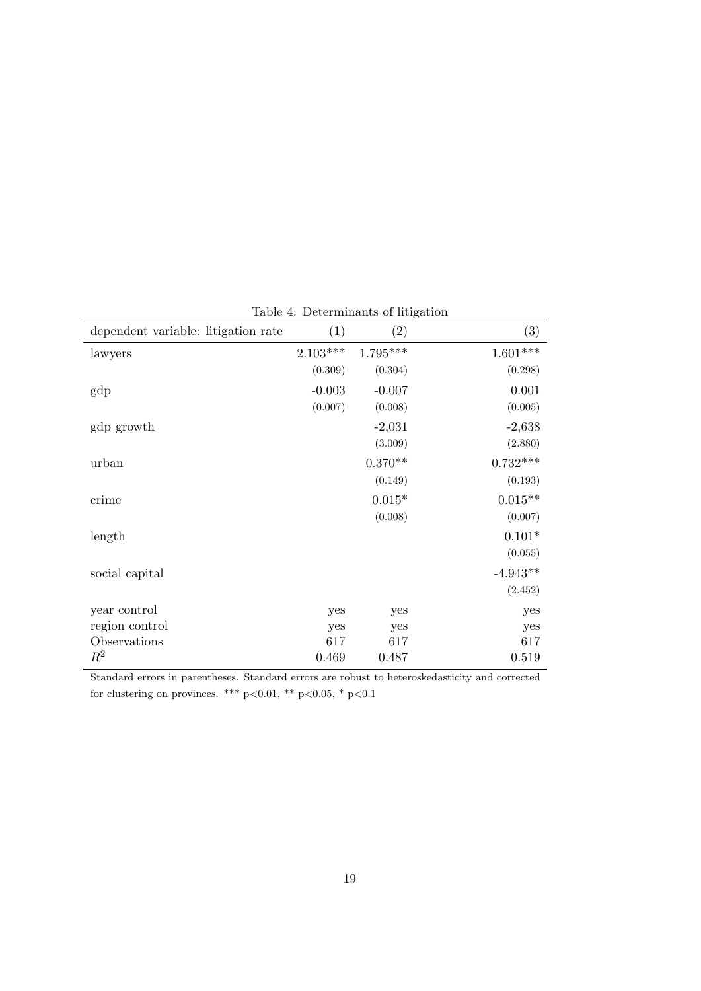| dependent variable: litigation rate | (1)        | (2)        | (3)        |
|-------------------------------------|------------|------------|------------|
| lawyers                             | $2.103***$ | $1.795***$ | $1.601***$ |
|                                     | (0.309)    | (0.304)    | (0.298)    |
| gdp                                 | $-0.003$   | $-0.007$   | 0.001      |
|                                     | (0.007)    | (0.008)    | (0.005)    |
| gdp_growth                          |            | $-2,031$   | $-2,638$   |
|                                     |            | (3.009)    | (2.880)    |
| urban                               |            | $0.370**$  | $0.732***$ |
|                                     |            | (0.149)    | (0.193)    |
| crime                               |            | $0.015*$   | $0.015**$  |
|                                     |            | (0.008)    | (0.007)    |
| length                              |            |            | $0.101*$   |
|                                     |            |            | (0.055)    |
| social capital                      |            |            | $-4.943**$ |
|                                     |            |            | (2.452)    |
| year control                        | yes        | yes        | yes        |
| region control                      | yes        | yes        | yes        |
| Observations                        | 617        | 617        | 617        |
| $\,R^2$                             | 0.469      | 0.487      | 0.519      |

Table 4: Determinants of litigation

Standard errors in parentheses. Standard errors are robust to heteroskedasticity and corrected for clustering on provinces. \*\*\* p<0.01, \*\* p<0.05, \* p<0.1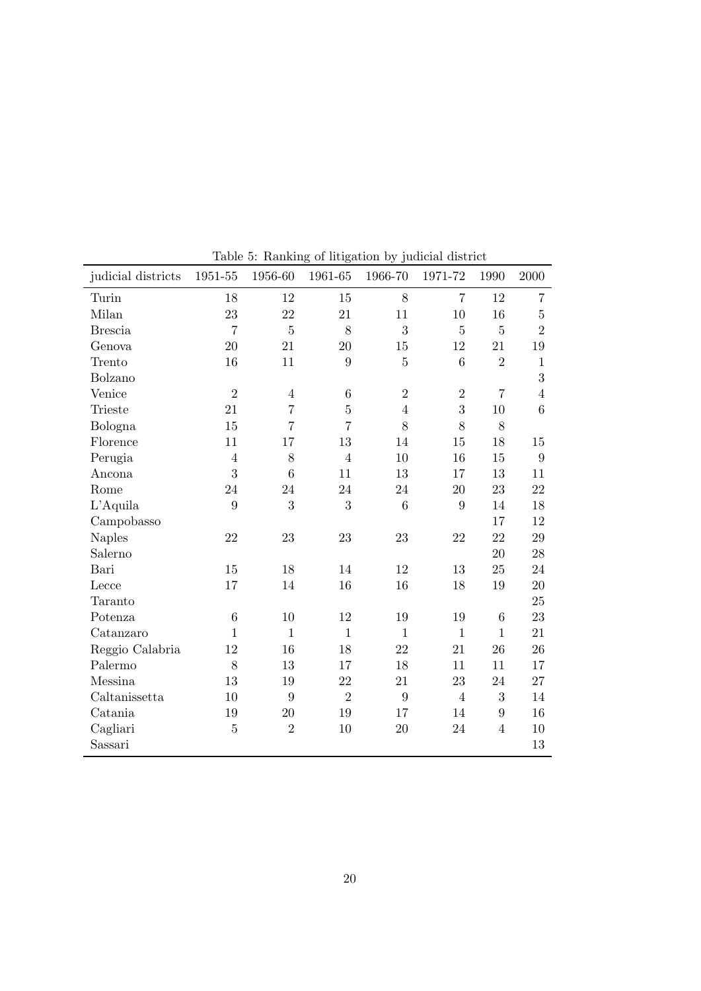| judicial districts | 1951-55        | 1956-60        | 1961-65         | Lable 5. Railking of intration by Judicial district<br>1966-70 | 1971-72          | 1990            | 2000             |
|--------------------|----------------|----------------|-----------------|----------------------------------------------------------------|------------------|-----------------|------------------|
| Turin              | 18             | 12             | 15              | 8                                                              | $\overline{7}$   | 12              | $\overline{7}$   |
| Milan              | 23             | 22             | 21              | 11                                                             | 10               | 16              | $\bf 5$          |
| <b>Brescia</b>     | $\overline{7}$ | $\overline{5}$ | 8               | 3                                                              | $\overline{5}$   | $\overline{5}$  | $\overline{2}$   |
| Genova             | 20             | 21             | 20              | 15                                                             | 12               | 21              | 19               |
| Trento             | 16             | 11             | 9               | $\bf 5$                                                        | $\boldsymbol{6}$ | $\overline{2}$  | $\,1$            |
| Bolzano            |                |                |                 |                                                                |                  |                 | $\overline{3}$   |
| Venice             | $\overline{2}$ | $\overline{4}$ | $6\phantom{.}6$ | $\overline{2}$                                                 | $\overline{2}$   | $\overline{7}$  | $\overline{4}$   |
| <b>Trieste</b>     | 21             | $\overline{7}$ | $\overline{5}$  | $\overline{4}$                                                 | 3                | 10              | 6                |
| Bologna            | 15             | $\overline{7}$ | $\overline{7}$  | 8                                                              | 8                | 8               |                  |
| Florence           | 11             | 17             | 13              | 14                                                             | 15               | 18              | $15\,$           |
| Perugia            | $\overline{4}$ | 8              | $\overline{4}$  | 10                                                             | 16               | 15              | $\boldsymbol{9}$ |
| Ancona             | 3              | 6              | 11              | $13\,$                                                         | 17               | 13              | 11               |
| Rome               | 24             | 24             | 24              | 24                                                             | 20               | 23              | 22               |
| $L'$ Aquila        | 9              | 3              | 3               | $\boldsymbol{6}$                                               | 9                | 14              | 18               |
| Campobasso         |                |                |                 |                                                                |                  | 17              | 12               |
| <b>Naples</b>      | 22             | 23             | 23              | 23                                                             | 22               | 22              | 29               |
| Salerno            |                |                |                 |                                                                |                  | 20              | 28               |
| Bari               | 15             | 18             | 14              | 12                                                             | 13               | 25              | 24               |
| Lecce              | 17             | 14             | 16              | 16                                                             | 18               | 19              | 20               |
| Taranto            |                |                |                 |                                                                |                  |                 | 25               |
| Potenza            | $\,6\,$        | 10             | 12              | 19                                                             | 19               | $6\phantom{.}6$ | 23               |
| Catanzaro          | $\mathbf{1}$   | $\mathbf{1}$   | $\mathbf{1}$    | $\mathbf{1}$                                                   | $\mathbf{1}$     | $\mathbf{1}$    | 21               |
| Reggio Calabria    | 12             | 16             | 18              | 22                                                             | 21               | 26              | 26               |
| Palermo            | 8              | 13             | 17              | 18                                                             | 11               | 11              | 17               |
| Messina            | 13             | 19             | 22              | 21                                                             | 23               | 24              | 27               |
| Caltanissetta      | 10             | 9              | $\overline{2}$  | 9                                                              | $\overline{4}$   | 3               | 14               |
| Catania            | 19             | 20             | 19              | 17                                                             | 14               | 9               | 16               |
| Cagliari           | $\bf 5$        | $\overline{2}$ | 10              | 20                                                             | 24               | $\overline{4}$  | 10               |
| Sassari            |                |                |                 |                                                                |                  |                 | 13               |

Table 5: Ranking of litigation by judicial district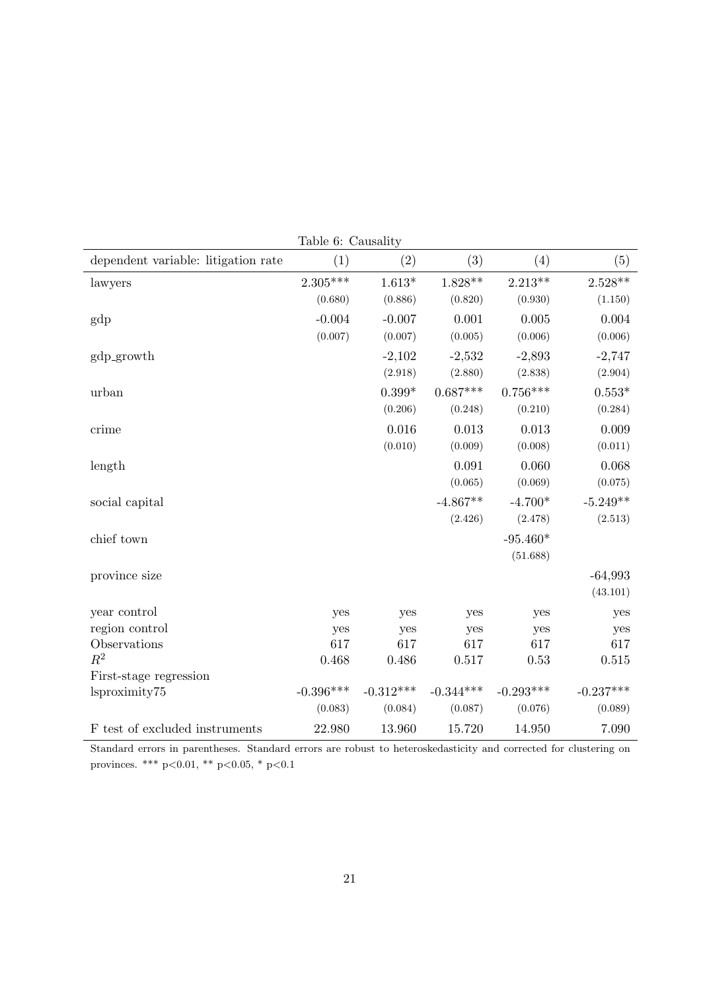| dependent variable: litigation rate | (1)         | (2)            | (3)         | (4)         | (5)                |
|-------------------------------------|-------------|----------------|-------------|-------------|--------------------|
| lawyers                             | $2.305***$  | $1.613^{\ast}$ | $1.828**$   | $2.213**$   | $2.528^{\ast\ast}$ |
|                                     | (0.680)     | (0.886)        | (0.820)     | (0.930)     | (1.150)            |
| gdp                                 | $-0.004$    | $-0.007$       | 0.001       | 0.005       | 0.004              |
|                                     | (0.007)     | (0.007)        | (0.005)     | (0.006)     | (0.006)            |
| gdp_growth                          |             | $-2,102$       | $-2,532$    | $-2,893$    | $-2,747$           |
|                                     |             | (2.918)        | (2.880)     | (2.838)     | (2.904)            |
| urban                               |             | $0.399*$       | $0.687***$  | $0.756***$  | $0.553*$           |
|                                     |             | (0.206)        | (0.248)     | (0.210)     | (0.284)            |
| crime                               |             | 0.016          | 0.013       | 0.013       | 0.009              |
|                                     |             | (0.010)        | (0.009)     | (0.008)     | (0.011)            |
| length                              |             |                | 0.091       | 0.060       | 0.068              |
|                                     |             |                | (0.065)     | (0.069)     | (0.075)            |
| social capital                      |             |                | $-4.867**$  | $-4.700*$   | $-5.249**$         |
|                                     |             |                | (2.426)     | (2.478)     | (2.513)            |
| chief town                          |             |                |             | $-95.460*$  |                    |
|                                     |             |                |             | (51.688)    |                    |
| province size                       |             |                |             |             | $-64,993$          |
|                                     |             |                |             |             | (43.101)           |
| year control                        | yes         | yes            | yes         | yes         | yes                |
| region control                      | yes         | yes            | yes         | yes         | yes                |
| Observations                        | 617         | 617            | 617         | 617         | 617                |
| $R^2$                               | 0.468       | 0.486          | 0.517       | 0.53        | 0.515              |
| First-stage regression              |             |                |             |             |                    |
| lsproximity75                       | $-0.396***$ | $-0.312***$    | $-0.344***$ | $-0.293***$ | $-0.237***$        |
|                                     | (0.083)     | (0.084)        | (0.087)     | (0.076)     | (0.089)            |
| F test of excluded instruments      | 22.980      | 13.960         | 15.720      | 14.950      | 7.090              |

Table 6: Causality

Standard errors in parentheses. Standard errors are robust to heteroskedasticity and corrected for clustering on provinces. \*\*\* p<0.01, \*\* p<0.05, \* p<0.1